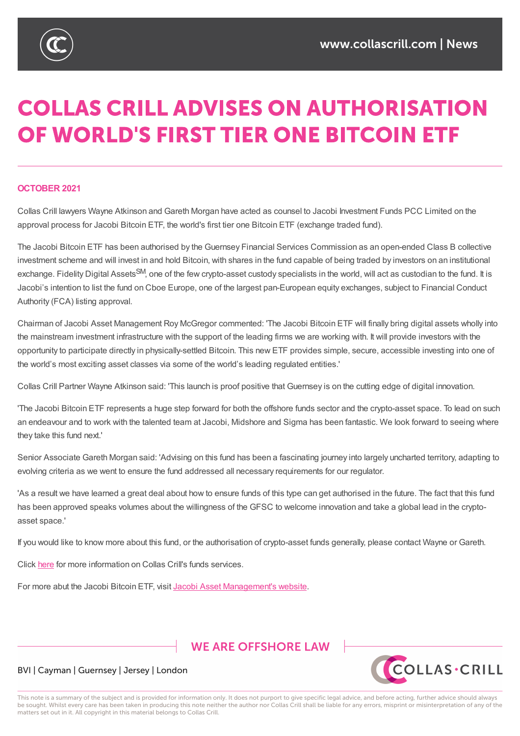

# **COLLAS CRILL ADVISES ON AUTHORISATION** OF WORLD'S FIRST TIER ONE BITCOIN ETF

#### **OCTOBER 2021**

Collas Crill lawyers Wayne Atkinson and Gareth Morgan have acted as counsel to Jacobi Investment Funds PCC Limited on the approval process for Jacobi Bitcoin ETF, the world's first tier one Bitcoin ETF (exchange traded fund).

The Jacobi Bitcoin ETF has been authorised by the Guernsey Financial Services Commission as an open-ended Class B collective investment scheme and will invest in and hold Bitcoin, with shares in the fund capable of being traded by investors on an institutional exchange. Fidelity Digital Assets<sup>SM</sup>, one of the few crypto-asset custody specialists in the world, will act as custodian to the fund. It is Jacobi's intention to list the fund on Cboe Europe, one of the largest pan-European equity exchanges, subject to Financial Conduct Authority (FCA) listing approval.

Chairman of Jacobi Asset Management Roy McGregor commented: 'The Jacobi Bitcoin ETF will finally bring digital assets wholly into the mainstream investment infrastructure with the support of the leading firms we are working with. It will provide investors with the opportunity to participate directly in physically-settled Bitcoin. This new ETF provides simple, secure, accessible investing into one of the world's most exciting asset classes via some of the world's leading regulated entities.'

Collas Crill Partner Wayne Atkinson said: 'This launch is proof positive that Guernsey is on the cutting edge of digital innovation.

'The Jacobi Bitcoin ETF represents a huge step forward for both the offshore funds sector and the crypto-asset space. To lead on such an endeavour and to work with the talented team at Jacobi, Midshore and Sigma has been fantastic. We look forward to seeing where they take this fund next.'

Senior Associate Gareth Morgan said: 'Advising on this fund has been a fascinating journey into largely uncharted territory, adapting to evolving criteria as we went to ensure the fund addressed all necessary requirements for our regulator.

'As a result we have learned a great deal about how to ensure funds of this type can get authorised in the future. The fact that this fund has been approved speaks volumes about the willingness of the GFSC to welcome innovation and take a global lead in the cryptoasset space.'

If you would like to know more about this fund, or the authorisation of crypto-asset funds generally, please contact Wayne or Gareth.

Click here for more information on Collas Crill's funds services.

For more abut the Jacobi Bitcoin ETF, visit Jacobi Asset Management's website.

## **WE ARE OFFSHORE LAW**



#### BVI | Cayman | Guernsey | Jersey | London

This note is a summary of the subject and is provided for information only. It does not purport to give specific legal advice, and before acting, further advice should always be sought. Whilst every care has been taken in producing this note neither the author nor Collas Crill shall be liable for any errors, misprint or misinterpretation of any of the matters set out in it. All copyright in this material belongs to Collas Crill.